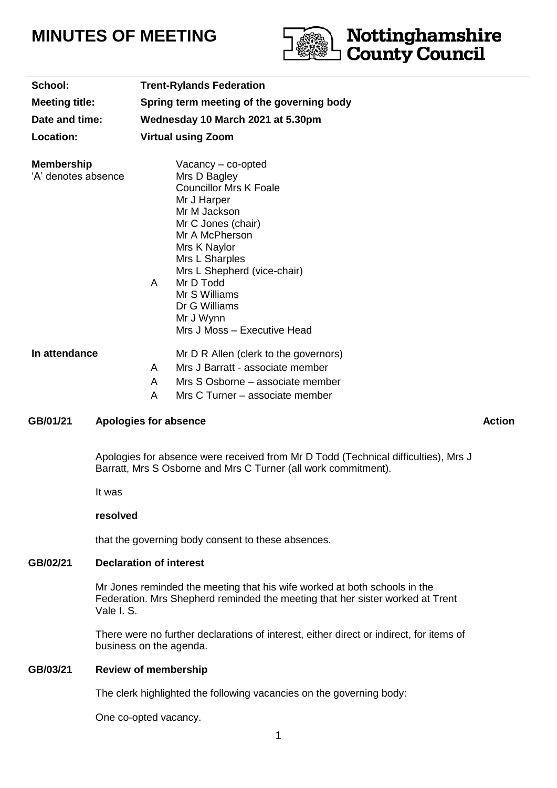# **MINUTES OF MEETING**



| <b>Trent-Rylands Federation</b>                                                                                                                                                                                                                                                                               |
|---------------------------------------------------------------------------------------------------------------------------------------------------------------------------------------------------------------------------------------------------------------------------------------------------------------|
| Spring term meeting of the governing body                                                                                                                                                                                                                                                                     |
| Wednesday 10 March 2021 at 5.30pm                                                                                                                                                                                                                                                                             |
| <b>Virtual using Zoom</b>                                                                                                                                                                                                                                                                                     |
| $Vacancy - co-opted$<br>Mrs D Bagley<br><b>Councillor Mrs K Foale</b><br>Mr J Harper<br>Mr M Jackson<br>Mr C Jones (chair)<br>Mr A McPherson<br>Mrs K Naylor<br>Mrs L Sharples<br>Mrs L Shepherd (vice-chair)<br>Mr D Todd<br>A<br>Mr S Williams<br>Dr G Williams<br>Mr J Wynn<br>Mrs J Moss - Executive Head |
| Mr D R Allen (clerk to the governors)<br>Mrs J Barratt - associate member<br>A                                                                                                                                                                                                                                |
| A<br>Mrs S Osborne – associate member                                                                                                                                                                                                                                                                         |
|                                                                                                                                                                                                                                                                                                               |

A Mrs C Turner – associate member

# GB/01/21 Apologies for absence Action Action Action Action Action Action Action

Apologies for absence were received from Mr D Todd (Technical difficulties), Mrs J Barratt, Mrs S Osborne and Mrs C Turner (all work commitment).

It was

#### **resolved**

that the governing body consent to these absences.

# **GB/02/21 Declaration of interest**

Mr Jones reminded the meeting that his wife worked at both schools in the Federation. Mrs Shepherd reminded the meeting that her sister worked at Trent Vale I. S.

There were no further declarations of interest, either direct or indirect, for items of business on the agenda.

# **GB/03/21 Review of membership**

The clerk highlighted the following vacancies on the governing body:

One co-opted vacancy.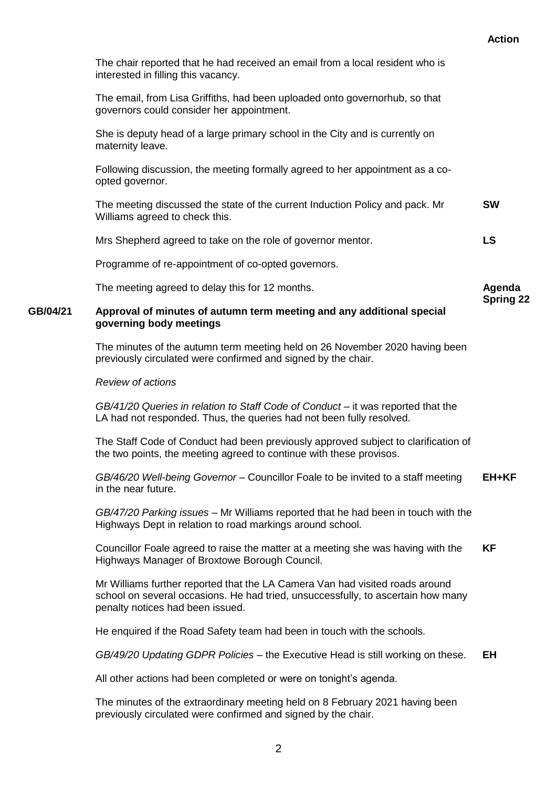|          | The chair reported that he had received an email from a local resident who is<br>interested in filling this vacancy.                                                                                 |                  |
|----------|------------------------------------------------------------------------------------------------------------------------------------------------------------------------------------------------------|------------------|
|          | The email, from Lisa Griffiths, had been uploaded onto governorhub, so that<br>governors could consider her appointment.                                                                             |                  |
|          | She is deputy head of a large primary school in the City and is currently on<br>maternity leave.                                                                                                     |                  |
|          | Following discussion, the meeting formally agreed to her appointment as a co-<br>opted governor.                                                                                                     |                  |
|          | The meeting discussed the state of the current Induction Policy and pack. Mr<br>Williams agreed to check this.                                                                                       | <b>SW</b>        |
|          | Mrs Shepherd agreed to take on the role of governor mentor.                                                                                                                                          | <b>LS</b>        |
|          | Programme of re-appointment of co-opted governors.                                                                                                                                                   |                  |
|          | The meeting agreed to delay this for 12 months.                                                                                                                                                      | Agenda           |
| GB/04/21 | Approval of minutes of autumn term meeting and any additional special<br>governing body meetings                                                                                                     | <b>Spring 22</b> |
|          | The minutes of the autumn term meeting held on 26 November 2020 having been<br>previously circulated were confirmed and signed by the chair.                                                         |                  |
|          | <b>Review of actions</b>                                                                                                                                                                             |                  |
|          | GB/41/20 Queries in relation to Staff Code of Conduct – it was reported that the<br>LA had not responded. Thus, the queries had not been fully resolved.                                             |                  |
|          | The Staff Code of Conduct had been previously approved subject to clarification of<br>the two points, the meeting agreed to continue with these provisos.                                            |                  |
|          | GB/46/20 Well-being Governor - Councillor Foale to be invited to a staff meeting<br>in the near future.                                                                                              | EH+KF            |
|          | GB/47/20 Parking issues – Mr Williams reported that he had been in touch with the<br>Highways Dept in relation to road markings around school.                                                       |                  |
|          | Councillor Foale agreed to raise the matter at a meeting she was having with the<br>Highways Manager of Broxtowe Borough Council.                                                                    | <b>KF</b>        |
|          | Mr Williams further reported that the LA Camera Van had visited roads around<br>school on several occasions. He had tried, unsuccessfully, to ascertain how many<br>penalty notices had been issued. |                  |
|          | He enquired if the Road Safety team had been in touch with the schools.                                                                                                                              |                  |
|          | GB/49/20 Updating GDPR Policies – the Executive Head is still working on these.                                                                                                                      | EH               |
|          | All other actions had been completed or were on tonight's agenda.                                                                                                                                    |                  |
|          | The minutes of the extraordinary meeting held on 8 February 2021 having been<br>previously circulated were confirmed and signed by the chair.                                                        |                  |
|          |                                                                                                                                                                                                      |                  |

 **Action**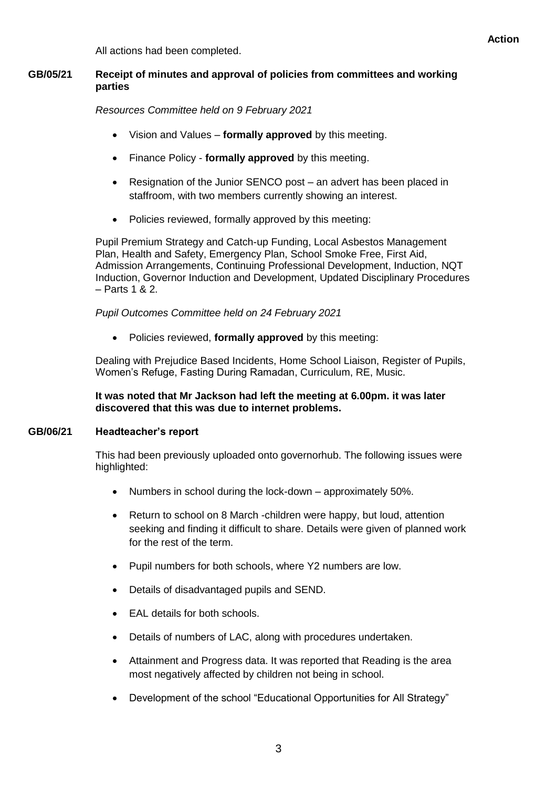All actions had been completed.

# **GB/05/21 Receipt of minutes and approval of policies from committees and working parties**

*Resources Committee held on 9 February 2021*

- Vision and Values **formally approved** by this meeting.
- Finance Policy **formally approved** by this meeting.
- Resignation of the Junior SENCO post an advert has been placed in staffroom, with two members currently showing an interest.
- Policies reviewed, formally approved by this meeting:

Pupil Premium Strategy and Catch-up Funding, Local Asbestos Management Plan, Health and Safety, Emergency Plan, School Smoke Free, First Aid, Admission Arrangements, Continuing Professional Development, Induction, NQT Induction, Governor Induction and Development, Updated Disciplinary Procedures – Parts 1 & 2.

# *Pupil Outcomes Committee held on 24 February 2021*

Policies reviewed, **formally approved** by this meeting:

Dealing with Prejudice Based Incidents, Home School Liaison, Register of Pupils, Women's Refuge, Fasting During Ramadan, Curriculum, RE, Music.

# **It was noted that Mr Jackson had left the meeting at 6.00pm. it was later discovered that this was due to internet problems.**

# **GB/06/21 Headteacher's report**

This had been previously uploaded onto governorhub. The following issues were highlighted:

- Numbers in school during the lock-down approximately 50%.
- Return to school on 8 March -children were happy, but loud, attention seeking and finding it difficult to share. Details were given of planned work for the rest of the term.
- Pupil numbers for both schools, where Y2 numbers are low.
- Details of disadvantaged pupils and SEND.
- EAL details for both schools.
- Details of numbers of LAC, along with procedures undertaken.
- Attainment and Progress data. It was reported that Reading is the area most negatively affected by children not being in school.
- Development of the school "Educational Opportunities for All Strategy"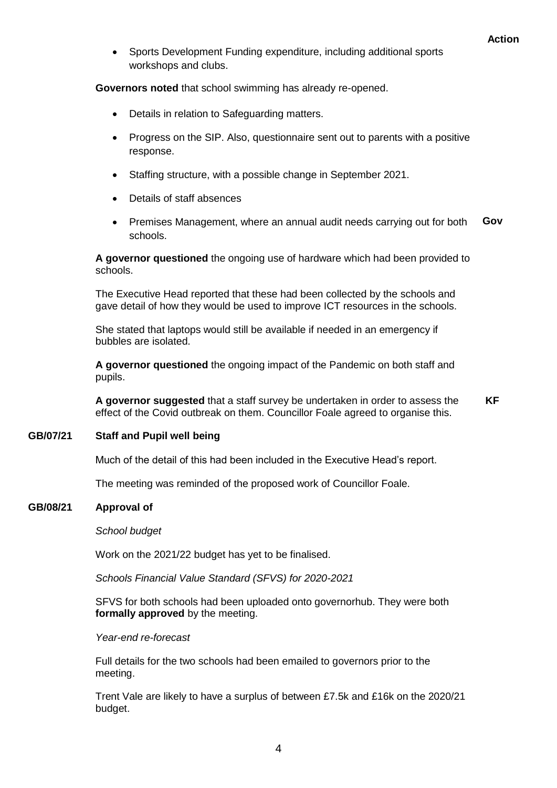Sports Development Funding expenditure, including additional sports workshops and clubs.

**Governors noted** that school swimming has already re-opened.

- Details in relation to Safeguarding matters.
- Progress on the SIP. Also, questionnaire sent out to parents with a positive response.
- Staffing structure, with a possible change in September 2021.
- Details of staff absences
- Premises Management, where an annual audit needs carrying out for both schools. **Gov**

**A governor questioned** the ongoing use of hardware which had been provided to schools.

The Executive Head reported that these had been collected by the schools and gave detail of how they would be used to improve ICT resources in the schools.

She stated that laptops would still be available if needed in an emergency if bubbles are isolated.

**A governor questioned** the ongoing impact of the Pandemic on both staff and pupils.

**A governor suggested** that a staff survey be undertaken in order to assess the effect of the Covid outbreak on them. Councillor Foale agreed to organise this. **KF**

#### **GB/07/21 Staff and Pupil well being**

Much of the detail of this had been included in the Executive Head's report.

The meeting was reminded of the proposed work of Councillor Foale.

#### **GB/08/21 Approval of**

#### *School budget*

Work on the 2021/22 budget has yet to be finalised.

*Schools Financial Value Standard (SFVS) for 2020-2021*

SFVS for both schools had been uploaded onto governorhub. They were both **formally approved** by the meeting.

#### *Year-end re-forecast*

Full details for the two schools had been emailed to governors prior to the meeting.

Trent Vale are likely to have a surplus of between £7.5k and £16k on the 2020/21 budget.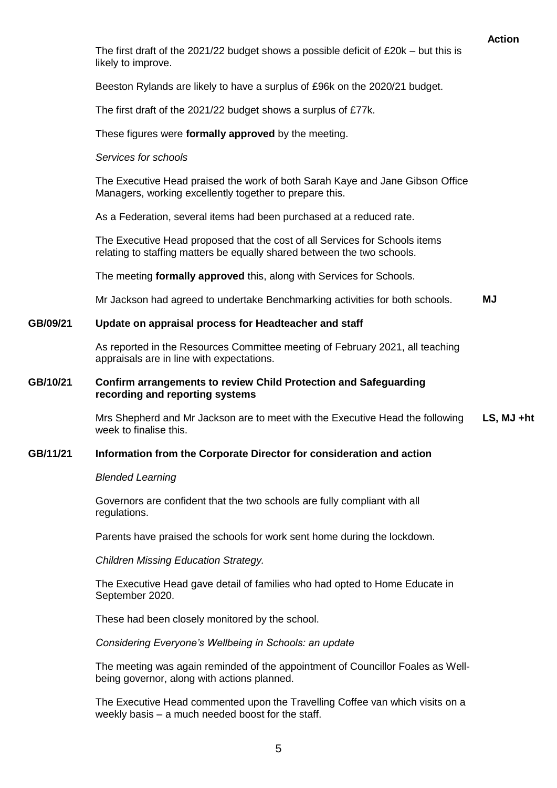#### **Action**

The first draft of the 2021/22 budget shows a possible deficit of  $£20k - but$  this is likely to improve.

Beeston Rylands are likely to have a surplus of £96k on the 2020/21 budget.

The first draft of the 2021/22 budget shows a surplus of £77k.

These figures were **formally approved** by the meeting.

#### *Services for schools*

The Executive Head praised the work of both Sarah Kaye and Jane Gibson Office Managers, working excellently together to prepare this.

As a Federation, several items had been purchased at a reduced rate.

The Executive Head proposed that the cost of all Services for Schools items relating to staffing matters be equally shared between the two schools.

The meeting **formally approved** this, along with Services for Schools.

Mr Jackson had agreed to undertake Benchmarking activities for both schools. **MJ**

#### **GB/09/21 Update on appraisal process for Headteacher and staff**

As reported in the Resources Committee meeting of February 2021, all teaching appraisals are in line with expectations.

#### **GB/10/21 Confirm arrangements to review Child Protection and Safeguarding recording and reporting systems**

Mrs Shepherd and Mr Jackson are to meet with the Executive Head the following week to finalise this. **LS, MJ +ht**

#### **GB/11/21 Information from the Corporate Director for consideration and action**

#### *Blended Learning*

Governors are confident that the two schools are fully compliant with all regulations.

Parents have praised the schools for work sent home during the lockdown.

*Children Missing Education Strategy.*

The Executive Head gave detail of families who had opted to Home Educate in September 2020.

These had been closely monitored by the school.

*Considering Everyone's Wellbeing in Schools: an update*

The meeting was again reminded of the appointment of Councillor Foales as Wellbeing governor, along with actions planned.

The Executive Head commented upon the Travelling Coffee van which visits on a weekly basis – a much needed boost for the staff.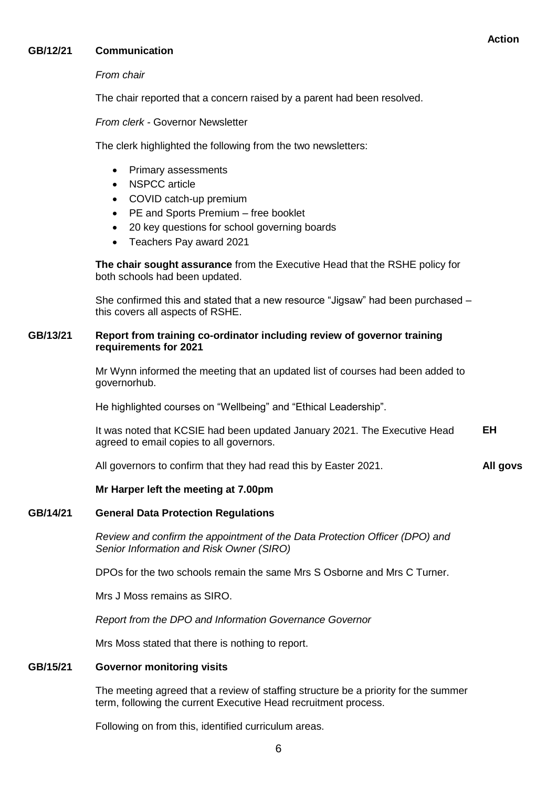# **GB/12/21 Communication**

# *From chair*

The chair reported that a concern raised by a parent had been resolved.

*From clerk -* Governor Newsletter

The clerk highlighted the following from the two newsletters:

- Primary assessments
- NSPCC article
- COVID catch-up premium
- PE and Sports Premium free booklet
- 20 key questions for school governing boards
- Teachers Pay award 2021

**The chair sought assurance** from the Executive Head that the RSHE policy for both schools had been updated.

She confirmed this and stated that a new resource "Jigsaw" had been purchased – this covers all aspects of RSHE.

# **GB/13/21 Report from training co-ordinator including review of governor training requirements for 2021**

Mr Wynn informed the meeting that an updated list of courses had been added to governorhub.

He highlighted courses on "Wellbeing" and "Ethical Leadership".

It was noted that KCSIE had been updated January 2021. The Executive Head agreed to email copies to all governors. **EH**

All governors to confirm that they had read this by Easter 2021. **All govs**

# **Mr Harper left the meeting at 7.00pm**

#### **GB/14/21 General Data Protection Regulations**

*Review and confirm the appointment of the Data Protection Officer (DPO) and Senior Information and Risk Owner (SIRO)*

DPOs for the two schools remain the same Mrs S Osborne and Mrs C Turner.

Mrs J Moss remains as SIRO.

*Report from the DPO and Information Governance Governor*

Mrs Moss stated that there is nothing to report.

# **GB/15/21 Governor monitoring visits**

The meeting agreed that a review of staffing structure be a priority for the summer term, following the current Executive Head recruitment process.

Following on from this, identified curriculum areas.